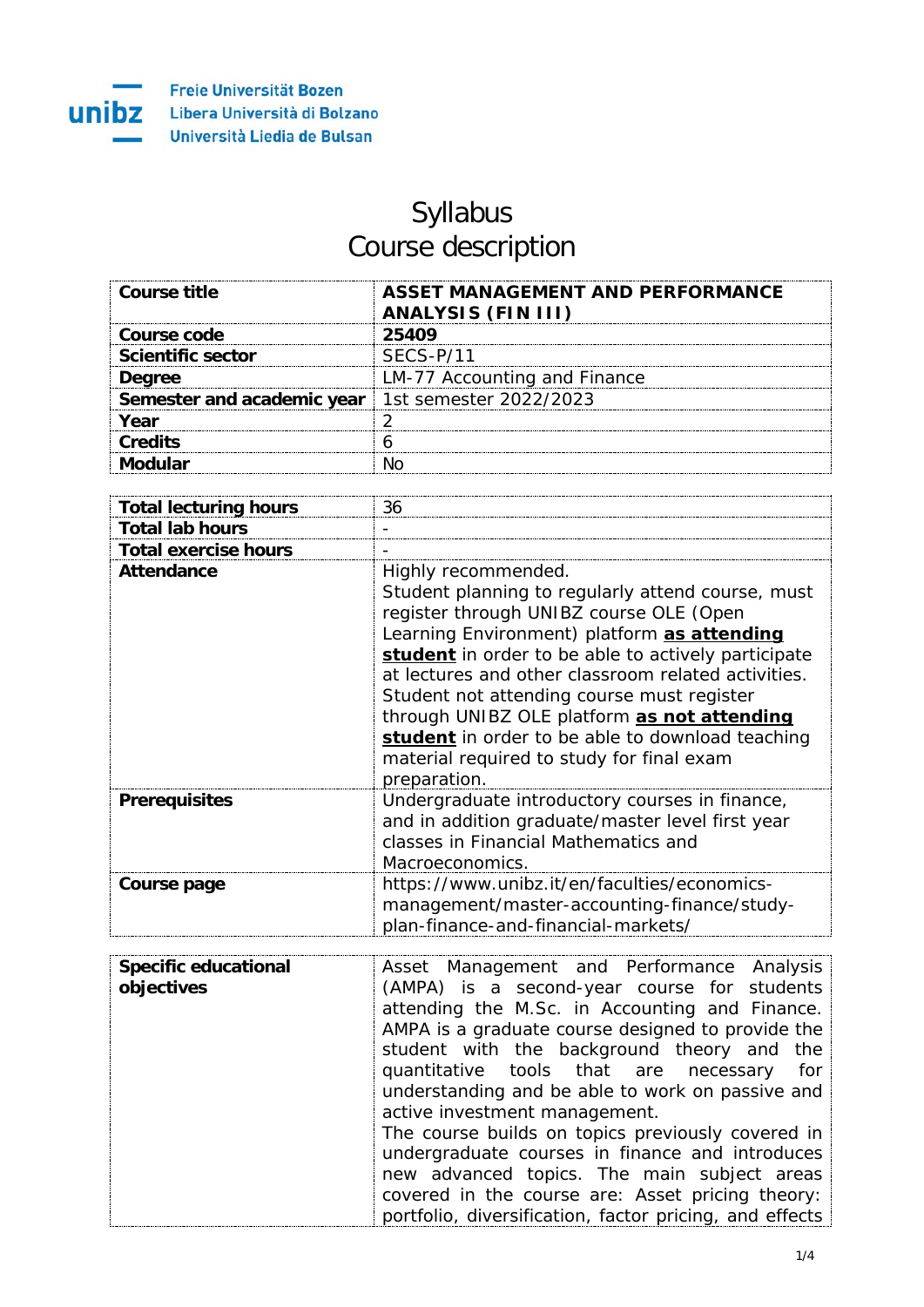

## Syllabus Course description

| Course title                                        | ASSET MANAGEMENT AND PERFORMANCE<br><b>ANALYSIS (FIN III)</b> |
|-----------------------------------------------------|---------------------------------------------------------------|
| Course code                                         | 25409                                                         |
| <b>Scientific sector</b>                            | SECS-P/11                                                     |
| <b>Degree</b>                                       | LM-77 Accounting and Finance                                  |
| Semester and academic year   1st semester 2022/2023 |                                                               |
| Year                                                |                                                               |
| Credits                                             |                                                               |
|                                                     |                                                               |

| <b>Total lecturing hours</b> | 36                                                                                                                                                                                                                                                                                                                                                                                                                                                                                             |
|------------------------------|------------------------------------------------------------------------------------------------------------------------------------------------------------------------------------------------------------------------------------------------------------------------------------------------------------------------------------------------------------------------------------------------------------------------------------------------------------------------------------------------|
| <b>Total lab hours</b>       |                                                                                                                                                                                                                                                                                                                                                                                                                                                                                                |
| <b>Total exercise hours</b>  |                                                                                                                                                                                                                                                                                                                                                                                                                                                                                                |
| <b>Attendance</b>            | Highly recommended.<br>Student planning to regularly attend course, must<br>register through UNIBZ course OLE (Open<br>Learning Environment) platform as attending<br>student in order to be able to actively participate<br>at lectures and other classroom related activities.<br>Student not attending course must register<br>through UNIBZ OLE platform as not attending<br>student in order to be able to download teaching<br>material required to study for final exam<br>preparation. |
| <b>Prerequisites</b>         | Undergraduate introductory courses in finance,<br>and in addition graduate/master level first year<br>classes in Financial Mathematics and<br>Macroeconomics.                                                                                                                                                                                                                                                                                                                                  |
| Course page                  | https://www.unibz.it/en/faculties/economics-<br>management/master-accounting-finance/study-<br>plan-finance-and-financial-markets/                                                                                                                                                                                                                                                                                                                                                             |

| <b>Specific educational</b> | Asset Management and Performance Analysis               |
|-----------------------------|---------------------------------------------------------|
| objectives                  | (AMPA) is a second-year course for students             |
|                             | attending the M.Sc. in Accounting and Finance.          |
|                             | AMPA is a graduate course designed to provide the       |
|                             | student with the background theory and the              |
|                             | quantitative tools that are necessary for               |
|                             | understanding and be able to work on passive and        |
|                             | active investment management.                           |
|                             | The course builds on topics previously covered in       |
|                             | undergraduate courses in finance and introduces         |
|                             | new advanced topics. The main subject areas             |
|                             | covered in the course are: Asset pricing theory:        |
|                             | portfolio, diversification, factor pricing, and effects |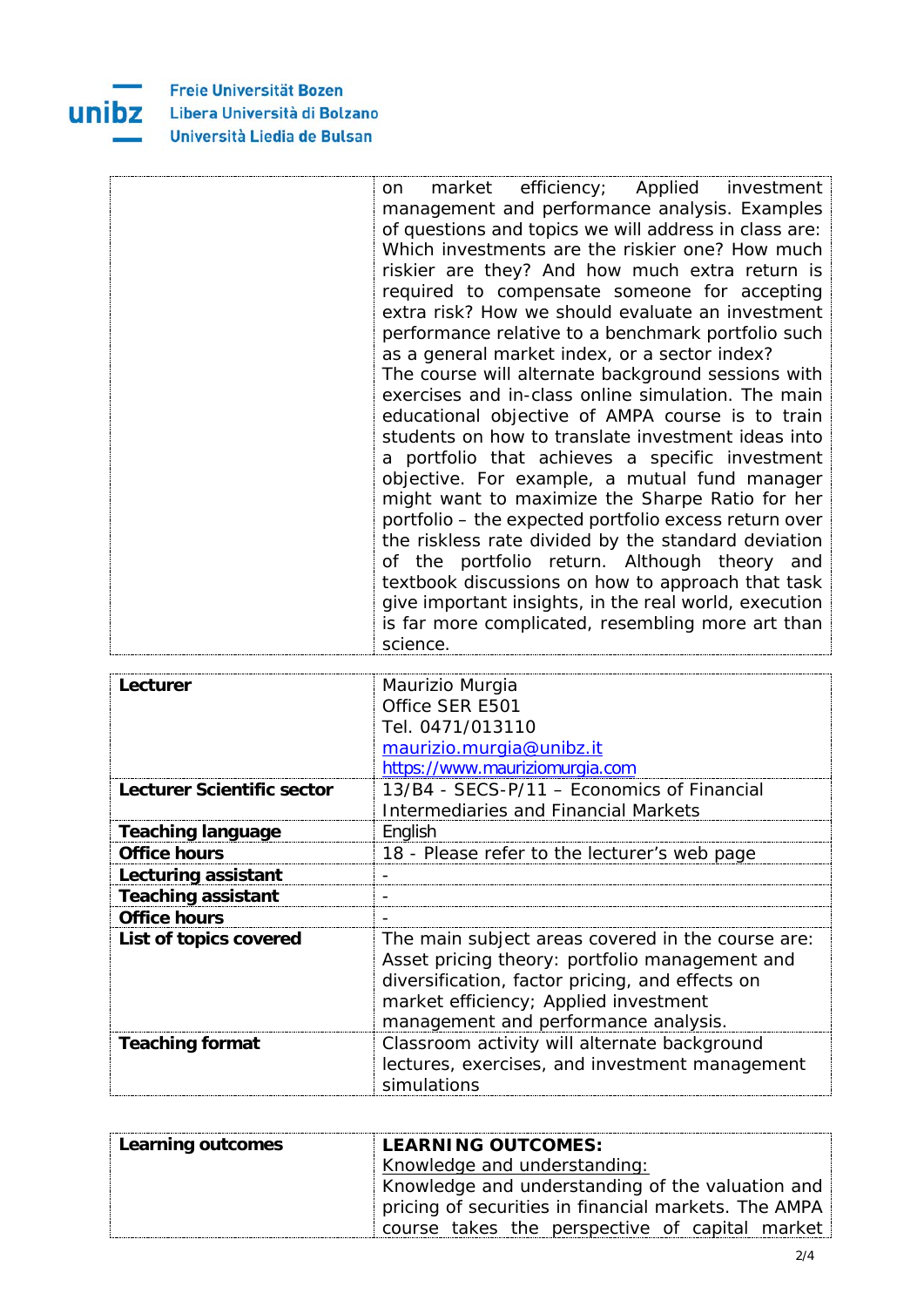Freie Universität Bozen Libera Università di Bolzano Università Liedia de Bulsan

 $\mathbf{t}$ ÷

unibz

| market efficiency; Applied investment<br>on           |
|-------------------------------------------------------|
| management and performance analysis. Examples         |
| of questions and topics we will address in class are: |
| Which investments are the riskier one? How much       |
| riskier are they? And how much extra return is        |
| required to compensate someone for accepting          |
| extra risk? How we should evaluate an investment      |
| performance relative to a benchmark portfolio such    |
| as a general market index, or a sector index?         |
| The course will alternate background sessions with    |
| exercises and in-class online simulation. The main    |
| educational objective of AMPA course is to train      |
| students on how to translate investment ideas into    |
| a portfolio that achieves a specific investment       |
| objective. For example, a mutual fund manager         |
|                                                       |
| might want to maximize the Sharpe Ratio for her       |
| portfolio – the expected portfolio excess return over |
| the riskless rate divided by the standard deviation   |
| of the portfolio return. Although theory and          |
| textbook discussions on how to approach that task     |
| give important insights, in the real world, execution |
| is far more complicated, resembling more art than     |
| science.                                              |

| Lecturer                   | Maurizio Murgia                                   |
|----------------------------|---------------------------------------------------|
|                            |                                                   |
|                            | Office SER E501                                   |
|                            | Tel. 0471/013110                                  |
|                            | maurizio.murgia@unibz.it                          |
|                            | https://www.mauriziomurgia.com                    |
| Lecturer Scientific sector | 13/B4 - SECS-P/11 - Economics of Financial        |
|                            | <b>Intermediaries and Financial Markets</b>       |
| <b>Teaching language</b>   | English                                           |
| <b>Office hours</b>        | 18 - Please refer to the lecturer's web page      |
| Lecturing assistant        |                                                   |
| <b>Teaching assistant</b>  | $\overline{\phantom{a}}$                          |
| <b>Office hours</b>        |                                                   |
| List of topics covered     | The main subject areas covered in the course are: |
|                            | Asset pricing theory: portfolio management and    |
|                            | diversification, factor pricing, and effects on   |
|                            | market efficiency; Applied investment             |
|                            |                                                   |
|                            | management and performance analysis.              |
| <b>Teaching format</b>     | Classroom activity will alternate background      |
|                            | lectures, exercises, and investment management    |
|                            | simulations                                       |

| Learning outcomes | <b>LEARNING OUTCOMES:</b>                            |
|-------------------|------------------------------------------------------|
|                   | Knowledge and understanding:                         |
|                   | Knowledge and understanding of the valuation and     |
|                   | pricing of securities in financial markets. The AMPA |
|                   | course takes the perspective of capital market       |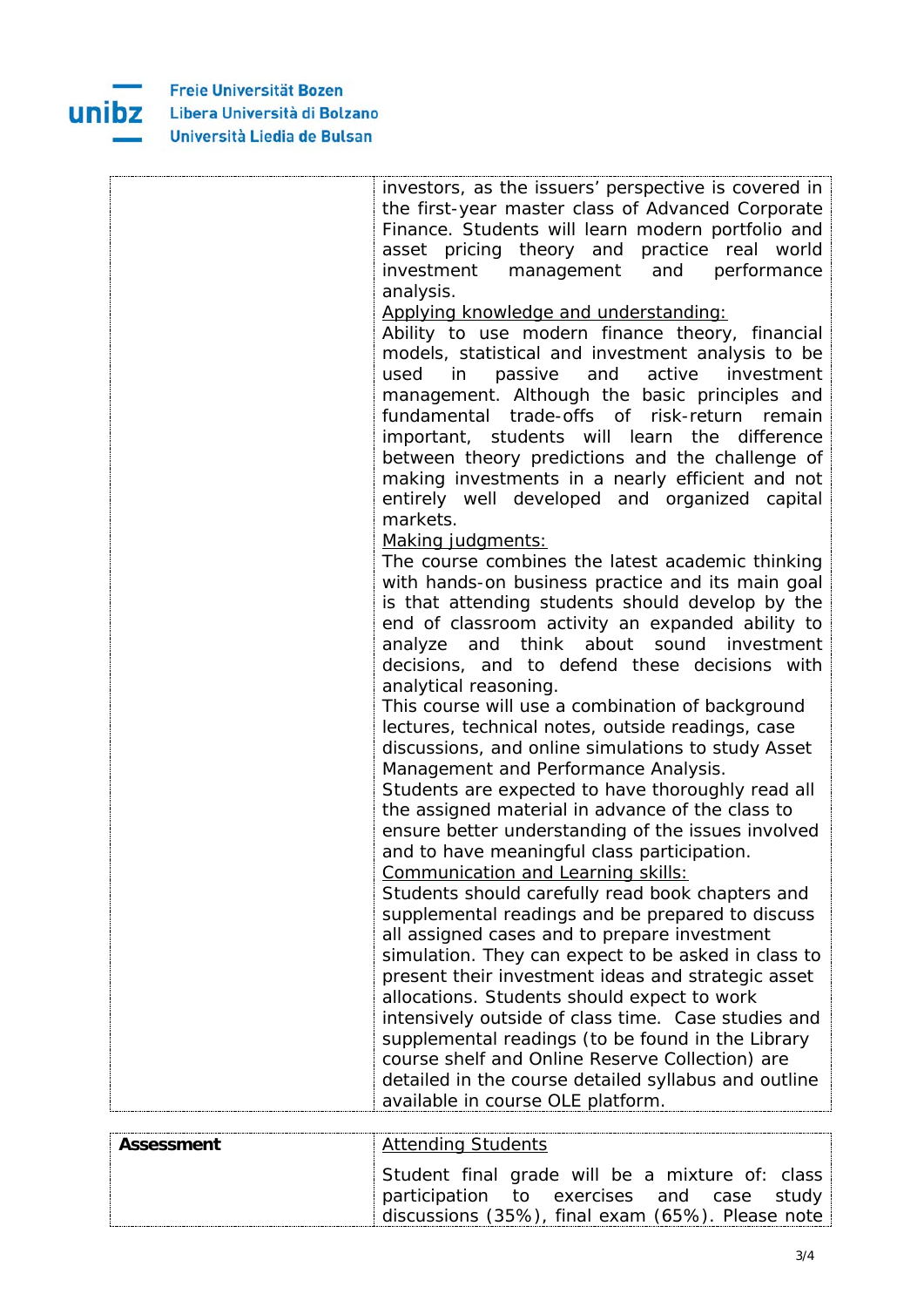

|                   | investors, as the issuers' perspective is covered in                                                 |
|-------------------|------------------------------------------------------------------------------------------------------|
|                   | the first-year master class of Advanced Corporate                                                    |
|                   | Finance. Students will learn modern portfolio and                                                    |
|                   | asset pricing theory and practice real world                                                         |
|                   | investment<br>management<br>and<br>performance                                                       |
|                   | analysis.                                                                                            |
|                   | Applying knowledge and understanding:                                                                |
|                   | Ability to use modern finance theory, financial                                                      |
|                   | models, statistical and investment analysis to be                                                    |
|                   | and<br>active<br>used<br>in in<br>passive<br>investment                                              |
|                   | management. Although the basic principles and                                                        |
|                   | fundamental trade-offs of risk-return remain                                                         |
|                   | important, students will learn the difference                                                        |
|                   | between theory predictions and the challenge of                                                      |
|                   | making investments in a nearly efficient and not                                                     |
|                   | entirely well developed and organized capital                                                        |
|                   | markets.                                                                                             |
|                   | Making judgments:                                                                                    |
|                   | The course combines the latest academic thinking                                                     |
|                   | with hands-on business practice and its main goal                                                    |
|                   | is that attending students should develop by the                                                     |
|                   | end of classroom activity an expanded ability to                                                     |
|                   | think<br>about<br>and<br>sound investment<br>analyze                                                 |
|                   | decisions, and to defend these decisions with                                                        |
|                   | analytical reasoning.                                                                                |
|                   | This course will use a combination of background                                                     |
|                   | lectures, technical notes, outside readings, case                                                    |
|                   | discussions, and online simulations to study Asset                                                   |
|                   | Management and Performance Analysis.                                                                 |
|                   | Students are expected to have thoroughly read all                                                    |
|                   | the assigned material in advance of the class to                                                     |
|                   | ensure better understanding of the issues involved                                                   |
|                   | and to have meaningful class participation.                                                          |
|                   | Communication and Learning skills:                                                                   |
|                   | Students should carefully read book chapters and                                                     |
|                   | supplemental readings and be prepared to discuss                                                     |
|                   | all assigned cases and to prepare investment                                                         |
|                   | simulation. They can expect to be asked in class to                                                  |
|                   | present their investment ideas and strategic asset                                                   |
|                   | allocations. Students should expect to work                                                          |
|                   | intensively outside of class time. Case studies and                                                  |
|                   | supplemental readings (to be found in the Library<br>course shelf and Online Reserve Collection) are |
|                   |                                                                                                      |
|                   | detailed in the course detailed syllabus and outline<br>available in course OLE platform.            |
|                   |                                                                                                      |
| <b>Assessment</b> | <b>Attending Students</b>                                                                            |
|                   | Student final grade will be a mixture of: class                                                      |
|                   |                                                                                                      |

participation to exercises and case study discussions (35%), final exam (65%). Please note